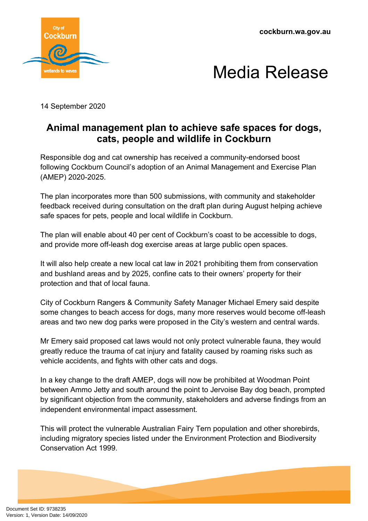**cockburn.wa.gov.au**





14 September 2020

## **Animal management plan to achieve safe spaces for dogs, cats, people and wildlife in Cockburn**

Responsible dog and cat ownership has received a community-endorsed boost following Cockburn Council's adoption of an Animal Management and Exercise Plan (AMEP) 2020-2025.

The plan incorporates more than 500 submissions, with community and stakeholder feedback received during consultation on the draft plan during August helping achieve safe spaces for pets, people and local wildlife in Cockburn.

The plan will enable about 40 per cent of Cockburn's coast to be accessible to dogs, and provide more off-leash dog exercise areas at large public open spaces.

It will also help create a new local cat law in 2021 prohibiting them from conservation and bushland areas and by 2025, confine cats to their owners' property for their protection and that of local fauna.

City of Cockburn Rangers & Community Safety Manager Michael Emery said despite some changes to beach access for dogs, many more reserves would become off-leash areas and two new dog parks were proposed in the City's western and central wards.

Mr Emery said proposed cat laws would not only protect vulnerable fauna, they would greatly reduce the trauma of cat injury and fatality caused by roaming risks such as vehicle accidents, and fights with other cats and dogs.

In a key change to the draft AMEP, dogs will now be prohibited at Woodman Point between Ammo Jetty and south around the point to Jervoise Bay dog beach, prompted by significant objection from the community, stakeholders and adverse findings from an independent environmental impact assessment.

This will protect the vulnerable Australian Fairy Tern population and other shorebirds, including migratory species listed under the Environment Protection and Biodiversity Conservation Act 1999.

Document Set ID: 9738235<br>Version: 1, Version Date: 14/09/2020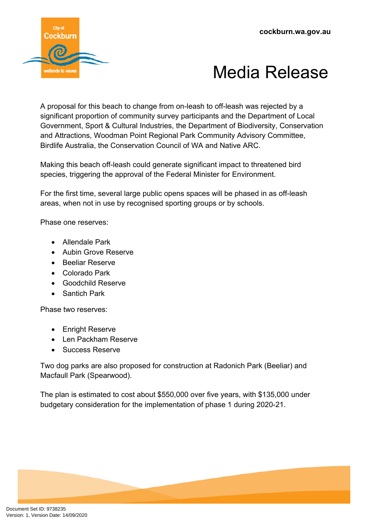

## Media Release

A proposal for this beach to change from on-leash to off-leash was rejected by a significant proportion of community survey participants and the Department of Local Government, Sport & Cultural Industries, the Department of Biodiversity, Conservation and Attractions, Woodman Point Regional Park Community Advisory Committee, Birdlife Australia, the Conservation Council of WA and Native ARC.

Making this beach off-leash could generate significant impact to threatened bird species, triggering the approval of the Federal Minister for Environment.

For the first time, several large public opens spaces will be phased in as off-leash areas, when not in use by recognised sporting groups or by schools.

Phase one reserves:

- Allendale Park
- **Aubin Grove Reserve**
- **•** Beeliar Reserve
- Colorado Park
- Goodchild Reserve
- Santich Park

Phase two reserves:

- Enright Reserve
- Len Packham Reserve
- Success Reserve

Two dog parks are also proposed for construction at Radonich Park (Beeliar) and Macfaull Park (Spearwood).

The plan is estimated to cost about \$550,000 over five years, with \$135,000 under budgetary consideration for the implementation of phase 1 during 2020-21.